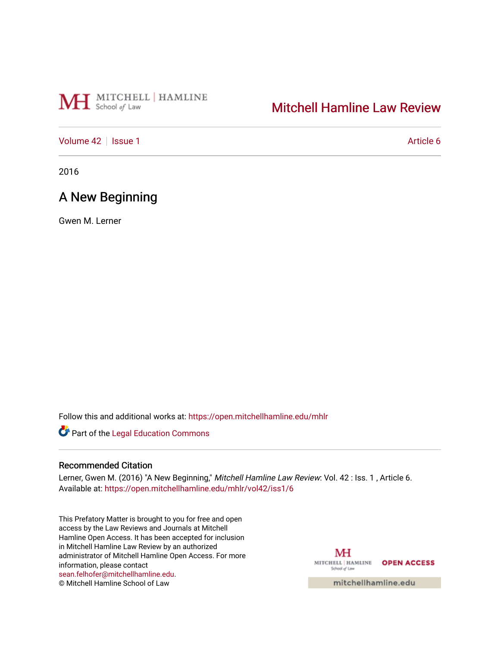# MH School of Law

# [Mitchell Hamline Law Review](https://open.mitchellhamline.edu/mhlr)

## [Volume 42](https://open.mitchellhamline.edu/mhlr/vol42) | [Issue 1](https://open.mitchellhamline.edu/mhlr/vol42/iss1) Article 6

2016

# A New Beginning

Gwen M. Lerner

Follow this and additional works at: [https://open.mitchellhamline.edu/mhlr](https://open.mitchellhamline.edu/mhlr?utm_source=open.mitchellhamline.edu%2Fmhlr%2Fvol42%2Fiss1%2F6&utm_medium=PDF&utm_campaign=PDFCoverPages) 

Part of the [Legal Education Commons](http://network.bepress.com/hgg/discipline/857?utm_source=open.mitchellhamline.edu%2Fmhlr%2Fvol42%2Fiss1%2F6&utm_medium=PDF&utm_campaign=PDFCoverPages) 

### Recommended Citation

Lerner, Gwen M. (2016) "A New Beginning," Mitchell Hamline Law Review: Vol. 42 : Iss. 1, Article 6. Available at: [https://open.mitchellhamline.edu/mhlr/vol42/iss1/6](https://open.mitchellhamline.edu/mhlr/vol42/iss1/6?utm_source=open.mitchellhamline.edu%2Fmhlr%2Fvol42%2Fiss1%2F6&utm_medium=PDF&utm_campaign=PDFCoverPages) 

This Prefatory Matter is brought to you for free and open access by the Law Reviews and Journals at Mitchell Hamline Open Access. It has been accepted for inclusion in Mitchell Hamline Law Review by an authorized administrator of Mitchell Hamline Open Access. For more information, please contact [sean.felhofer@mitchellhamline.edu](mailto:sean.felhofer@mitchellhamline.edu). © Mitchell Hamline School of Law

MH MITCHELL | HAMLINE OPEN ACCESS School of Law

mitchellhamline.edu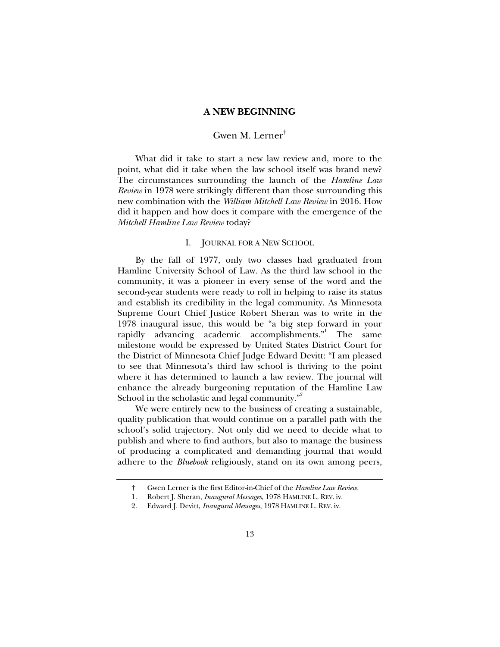#### **A NEW BEGINNING**

## Gwen M. Lerner†

What did it take to start a new law review and, more to the point, what did it take when the law school itself was brand new? The circumstances surrounding the launch of the *Hamline Law Review* in 1978 were strikingly different than those surrounding this new combination with the *William Mitchell Law Review* in 2016. How did it happen and how does it compare with the emergence of the *Mitchell Hamline Law Review* today?

#### I. JOURNAL FOR A NEW SCHOOL

By the fall of 1977, only two classes had graduated from Hamline University School of Law. As the third law school in the community, it was a pioneer in every sense of the word and the second-year students were ready to roll in helping to raise its status and establish its credibility in the legal community. As Minnesota Supreme Court Chief Justice Robert Sheran was to write in the 1978 inaugural issue, this would be "a big step forward in your rapidly advancing academic accomplishments."<sup>1</sup> The same milestone would be expressed by United States District Court for the District of Minnesota Chief Judge Edward Devitt: "I am pleased to see that Minnesota's third law school is thriving to the point where it has determined to launch a law review. The journal will enhance the already burgeoning reputation of the Hamline Law School in the scholastic and legal community."<sup>2</sup>

We were entirely new to the business of creating a sustainable, quality publication that would continue on a parallel path with the school's solid trajectory. Not only did we need to decide what to publish and where to find authors, but also to manage the business of producing a complicated and demanding journal that would adhere to the *Bluebook* religiously, stand on its own among peers,

 <sup>†</sup> Gwen Lerner is the first Editor-in-Chief of the *Hamline Law Review*.

 <sup>1.</sup> Robert J. Sheran, *Inaugural Messages*, 1978 HAMLINE L. REV. iv.

 <sup>2.</sup> Edward J. Devitt, *Inaugural Messages*, 1978 HAMLINE L. REV. iv.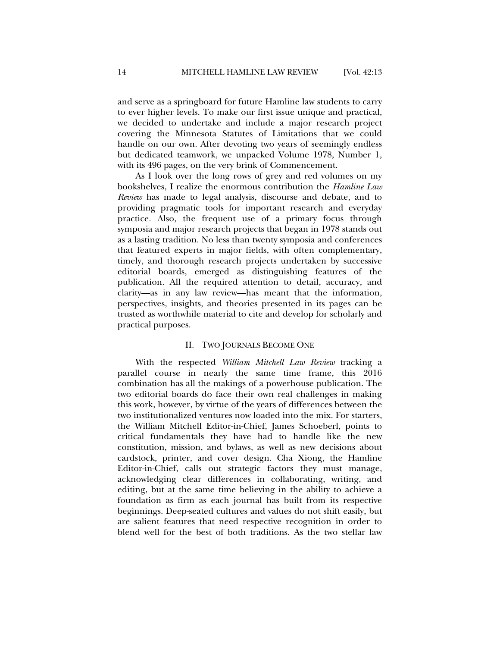and serve as a springboard for future Hamline law students to carry to ever higher levels. To make our first issue unique and practical, we decided to undertake and include a major research project covering the Minnesota Statutes of Limitations that we could handle on our own. After devoting two years of seemingly endless but dedicated teamwork, we unpacked Volume 1978, Number 1, with its 496 pages, on the very brink of Commencement.

As I look over the long rows of grey and red volumes on my bookshelves, I realize the enormous contribution the *Hamline Law Review* has made to legal analysis, discourse and debate, and to providing pragmatic tools for important research and everyday practice. Also, the frequent use of a primary focus through symposia and major research projects that began in 1978 stands out as a lasting tradition. No less than twenty symposia and conferences that featured experts in major fields, with often complementary, timely, and thorough research projects undertaken by successive editorial boards, emerged as distinguishing features of the publication. All the required attention to detail, accuracy, and clarity—as in any law review—has meant that the information, perspectives, insights, and theories presented in its pages can be trusted as worthwhile material to cite and develop for scholarly and practical purposes.

#### II. TWO JOURNALS BECOME ONE

With the respected *William Mitchell Law Review* tracking a parallel course in nearly the same time frame, this 2016 combination has all the makings of a powerhouse publication. The two editorial boards do face their own real challenges in making this work, however, by virtue of the years of differences between the two institutionalized ventures now loaded into the mix. For starters, the William Mitchell Editor-in-Chief, James Schoeberl, points to critical fundamentals they have had to handle like the new constitution, mission, and bylaws, as well as new decisions about cardstock, printer, and cover design. Cha Xiong, the Hamline Editor-in-Chief, calls out strategic factors they must manage, acknowledging clear differences in collaborating, writing, and editing, but at the same time believing in the ability to achieve a foundation as firm as each journal has built from its respective beginnings. Deep-seated cultures and values do not shift easily, but are salient features that need respective recognition in order to blend well for the best of both traditions. As the two stellar law